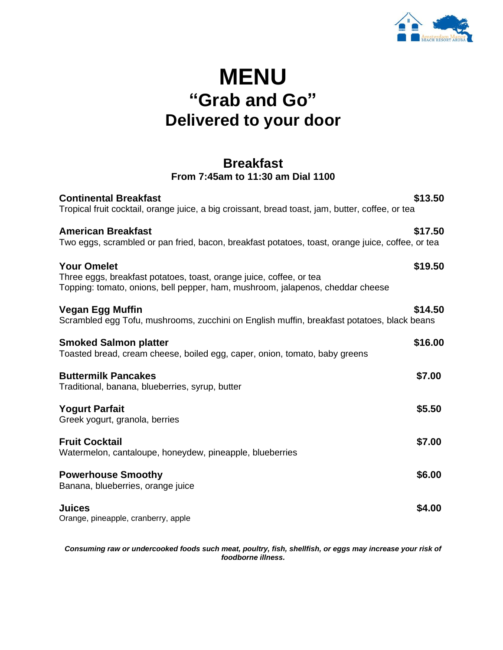

# **MENU "Grab and Go" Delivered to your door**

#### **Breakfast From 7:45am to 11:30 am Dial 1100**

| <b>Continental Breakfast</b><br>Tropical fruit cocktail, orange juice, a big croissant, bread toast, jam, butter, coffee, or tea                                            | \$13.50 |
|-----------------------------------------------------------------------------------------------------------------------------------------------------------------------------|---------|
| <b>American Breakfast</b><br>Two eggs, scrambled or pan fried, bacon, breakfast potatoes, toast, orange juice, coffee, or tea                                               | \$17.50 |
| <b>Your Omelet</b><br>Three eggs, breakfast potatoes, toast, orange juice, coffee, or tea<br>Topping: tomato, onions, bell pepper, ham, mushroom, jalapenos, cheddar cheese | \$19.50 |
| <b>Vegan Egg Muffin</b><br>Scrambled egg Tofu, mushrooms, zucchini on English muffin, breakfast potatoes, black beans                                                       | \$14.50 |
| <b>Smoked Salmon platter</b><br>Toasted bread, cream cheese, boiled egg, caper, onion, tomato, baby greens                                                                  | \$16.00 |
| <b>Buttermilk Pancakes</b><br>Traditional, banana, blueberries, syrup, butter                                                                                               | \$7.00  |
| <b>Yogurt Parfait</b><br>Greek yogurt, granola, berries                                                                                                                     | \$5.50  |
| <b>Fruit Cocktail</b><br>Watermelon, cantaloupe, honeydew, pineapple, blueberries                                                                                           | \$7.00  |
| <b>Powerhouse Smoothy</b><br>Banana, blueberries, orange juice                                                                                                              | \$6.00  |
| <b>Juices</b><br>Orange, pineapple, cranberry, apple                                                                                                                        | \$4.00  |

*Consuming raw or undercooked foods such meat, poultry, fish, shellfish, or eggs may increase your risk of foodborne illness.*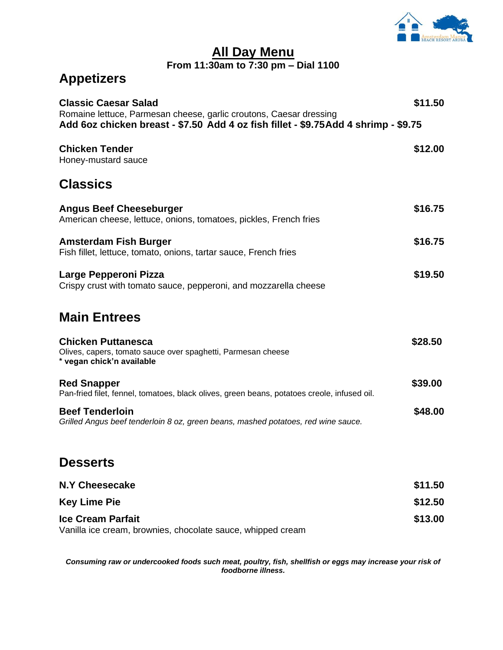

#### **All Day Menu From 11:30am to 7:30 pm – Dial 1100**

### **Appetizers**

| <b>Classic Caesar Salad</b><br>Romaine lettuce, Parmesan cheese, garlic croutons, Caesar dressing                      | \$11.50 |  |  |  |
|------------------------------------------------------------------------------------------------------------------------|---------|--|--|--|
| Add 6oz chicken breast - \$7.50 Add 4 oz fish fillet - \$9.75Add 4 shrimp - \$9.75                                     |         |  |  |  |
| <b>Chicken Tender</b><br>Honey-mustard sauce                                                                           | \$12.00 |  |  |  |
| <b>Classics</b>                                                                                                        |         |  |  |  |
| <b>Angus Beef Cheeseburger</b><br>American cheese, lettuce, onions, tomatoes, pickles, French fries                    | \$16.75 |  |  |  |
| <b>Amsterdam Fish Burger</b><br>Fish fillet, lettuce, tomato, onions, tartar sauce, French fries                       | \$16.75 |  |  |  |
| Large Pepperoni Pizza<br>Crispy crust with tomato sauce, pepperoni, and mozzarella cheese                              | \$19.50 |  |  |  |
| <b>Main Entrees</b>                                                                                                    |         |  |  |  |
| <b>Chicken Puttanesca</b><br>Olives, capers, tomato sauce over spaghetti, Parmesan cheese<br>* vegan chick'n available | \$28.50 |  |  |  |
| <b>Red Snapper</b><br>Pan-fried filet, fennel, tomatoes, black olives, green beans, potatoes creole, infused oil.      | \$39.00 |  |  |  |
| <b>Beef Tenderloin</b><br>Grilled Angus beef tenderloin 8 oz, green beans, mashed potatoes, red wine sauce.            | \$48.00 |  |  |  |

#### **Desserts**

| <b>N.Y Cheesecake</b>                                       | \$11.50 |
|-------------------------------------------------------------|---------|
| <b>Key Lime Pie</b>                                         | \$12.50 |
| <b>Ice Cream Parfait</b>                                    | \$13.00 |
| Vanilla ice cream, brownies, chocolate sauce, whipped cream |         |

*Consuming raw or undercooked foods such meat, poultry, fish, shellfish or eggs may increase your risk of foodborne illness.*